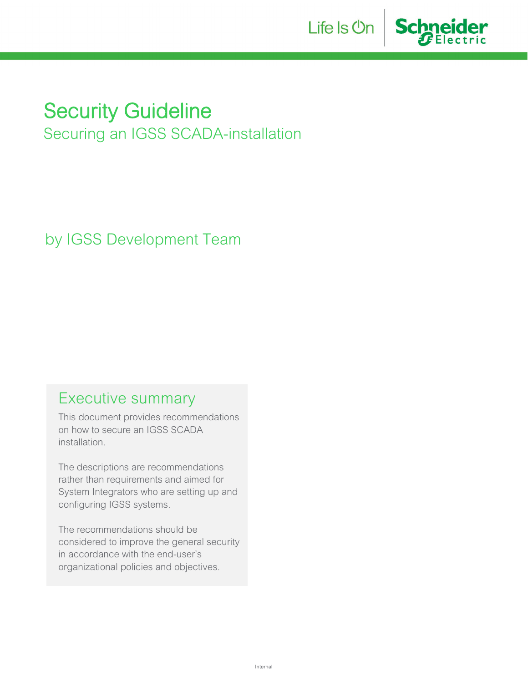



# **Security Guideline**

Securing an IGSS SCADA-installation

by IGSS Development Team

# Executive summary

This document provides recommendations on how to secure an IGSS SCADA installation.

The descriptions are recommendations rather than requirements and aimed for System Integrators who are setting up and configuring IGSS systems.

The recommendations should be considered to improve the general security in accordance with the end-user's organizational policies and objectives.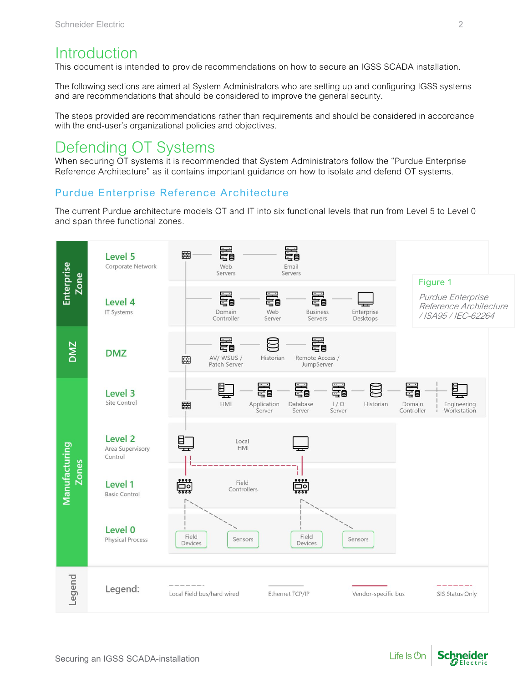# **Introduction**

This document is intended to provide recommendations on how to secure an IGSS SCADA installation.

The following sections are aimed at System Administrators who are setting up and configuring IGSS systems and are recommendations that should be considered to improve the general security.

The steps provided are recommendations rather than requirements and should be considered in accordance with the end-user's organizational policies and objectives.

# Defending OT Systems

When securing OT systems it is recommended that System Administrators follow the "Purdue Enterprise Reference Architecture" as it contains important guidance on how to isolate and defend OT systems.

### Purdue Enterprise Reference Architecture

The current Purdue architecture models OT and IT into six functional levels that run from Level 5 to Level 0 and span three functional zones.



Schneider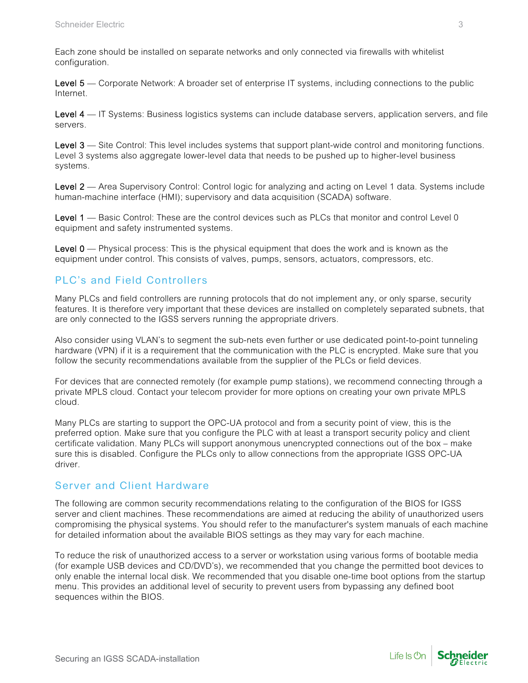Each zone should be installed on separate networks and only connected via firewalls with whitelist configuration.

Level 5 — Corporate Network: A broader set of enterprise IT systems, including connections to the public Internet.

Level 4 — IT Systems: Business logistics systems can include database servers, application servers, and file servers.

Level 3 — Site Control: This level includes systems that support plant-wide control and monitoring functions. Level 3 systems also aggregate lower-level data that needs to be pushed up to higher-level business systems.

Level 2 — Area Supervisory Control: Control logic for analyzing and acting on Level 1 data. Systems include human-machine interface (HMI); supervisory and data acquisition (SCADA) software.

Level 1 — Basic Control: These are the control devices such as PLCs that monitor and control Level 0 equipment and safety instrumented systems.

Level 0 - Physical process: This is the physical equipment that does the work and is known as the equipment under control. This consists of valves, pumps, sensors, actuators, compressors, etc.

### PLC's and Field Controllers

Many PLCs and field controllers are running protocols that do not implement any, or only sparse, security features. It is therefore very important that these devices are installed on completely separated subnets, that are only connected to the IGSS servers running the appropriate drivers.

Also consider using VLAN's to segment the sub-nets even further or use dedicated point-to-point tunneling hardware (VPN) if it is a requirement that the communication with the PLC is encrypted. Make sure that you follow the security recommendations available from the supplier of the PLCs or field devices.

For devices that are connected remotely (for example pump stations), we recommend connecting through a private MPLS cloud. Contact your telecom provider for more options on creating your own private MPLS cloud.

Many PLCs are starting to support the OPC-UA protocol and from a security point of view, this is the preferred option. Make sure that you configure the PLC with at least a transport security policy and client certificate validation. Many PLCs will support anonymous unencrypted connections out of the box – make sure this is disabled. Configure the PLCs only to allow connections from the appropriate IGSS OPC-UA driver.

#### Server and Client Hardware

The following are common security recommendations relating to the configuration of the BIOS for IGSS server and client machines. These recommendations are aimed at reducing the ability of unauthorized users compromising the physical systems. You should refer to the manufacturer's system manuals of each machine for detailed information about the available BIOS settings as they may vary for each machine.

To reduce the risk of unauthorized access to a server or workstation using various forms of bootable media (for example USB devices and CD/DVD's), we recommended that you change the permitted boot devices to only enable the internal local disk. We recommended that you disable one-time boot options from the startup menu. This provides an additional level of security to prevent users from bypassing any defined boot sequences within the BIOS.

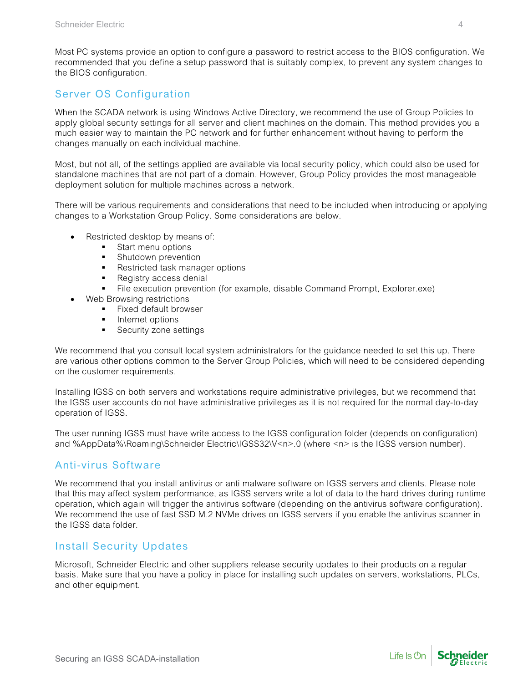Most PC systems provide an option to configure a password to restrict access to the BIOS configuration. We recommended that you define a setup password that is suitably complex, to prevent any system changes to the BIOS configuration.

## Server OS Configuration

When the SCADA network is using Windows Active Directory, we recommend the use of Group Policies to apply global security settings for all server and client machines on the domain. This method provides you a much easier way to maintain the PC network and for further enhancement without having to perform the changes manually on each individual machine.

Most, but not all, of the settings applied are available via local security policy, which could also be used for standalone machines that are not part of a domain. However, Group Policy provides the most manageable deployment solution for multiple machines across a network.

There will be various requirements and considerations that need to be included when introducing or applying changes to a Workstation Group Policy. Some considerations are below.

- Restricted desktop by means of:
	- Start menu options
	- Shutdown prevention
	- Restricted task manager options
	- **Registry access denial**
	- File execution prevention (for example, disable Command Prompt, Explorer.exe)
- Web Browsing restrictions
	- **Fixed default browser**
	- **Internet options**
	- **Security zone settings**

We recommend that you consult local system administrators for the guidance needed to set this up. There are various other options common to the Server Group Policies, which will need to be considered depending on the customer requirements.

Installing IGSS on both servers and workstations require administrative privileges, but we recommend that the IGSS user accounts do not have administrative privileges as it is not required for the normal day-to-day operation of IGSS.

The user running IGSS must have write access to the IGSS configuration folder (depends on configuration) and %AppData%\Roaming\Schneider Electric\IGSS32\V<n>.0 (where <n> is the IGSS version number).

### Anti-virus Software

We recommend that you install antivirus or anti malware software on IGSS servers and clients. Please note that this may affect system performance, as IGSS servers write a lot of data to the hard drives during runtime operation, which again will trigger the antivirus software (depending on the antivirus software configuration). We recommend the use of fast SSD M.2 NVMe drives on IGSS servers if you enable the antivirus scanner in the IGSS data folder.

### Install Security Updates

Microsoft, Schneider Electric and other suppliers release security updates to their products on a regular basis. Make sure that you have a policy in place for installing such updates on servers, workstations, PLCs, and other equipment.

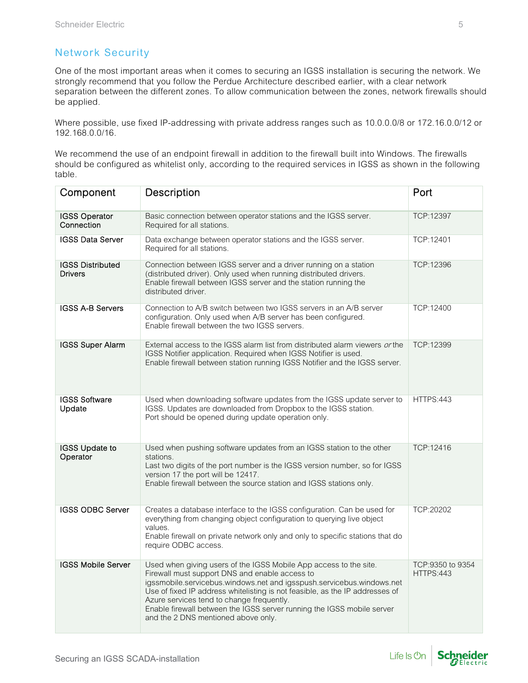## Network Security

One of the most important areas when it comes to securing an IGSS installation is securing the network. We strongly recommend that you follow the Perdue Architecture described earlier, with a clear network separation between the different zones. To allow communication between the zones, network firewalls should be applied.

Where possible, use fixed IP-addressing with private address ranges such as 10.0.0.0/8 or 172.16.0.0/12 or 192.168.0.0/16.

We recommend the use of an endpoint firewall in addition to the firewall built into Windows. The firewalls should be configured as whitelist only, according to the required services in IGSS as shown in the following table.

| Component                                 | Description                                                                                                                                                                                                                                                                                                                                                                                                                                | Port                          |
|-------------------------------------------|--------------------------------------------------------------------------------------------------------------------------------------------------------------------------------------------------------------------------------------------------------------------------------------------------------------------------------------------------------------------------------------------------------------------------------------------|-------------------------------|
| <b>IGSS Operator</b><br>Connection        | Basic connection between operator stations and the IGSS server.<br>Required for all stations.                                                                                                                                                                                                                                                                                                                                              | TCP:12397                     |
| <b>IGSS Data Server</b>                   | Data exchange between operator stations and the IGSS server.<br>Required for all stations.                                                                                                                                                                                                                                                                                                                                                 | TCP:12401                     |
| <b>IGSS Distributed</b><br><b>Drivers</b> | Connection between IGSS server and a driver running on a station<br>(distributed driver). Only used when running distributed drivers.<br>Enable firewall between IGSS server and the station running the<br>distributed driver.                                                                                                                                                                                                            | TCP:12396                     |
| <b>IGSS A-B Servers</b>                   | Connection to A/B switch between two IGSS servers in an A/B server<br>configuration. Only used when A/B server has been configured.<br>Enable firewall between the two IGSS servers.                                                                                                                                                                                                                                                       | TCP:12400                     |
| <b>IGSS Super Alarm</b>                   | External access to the IGSS alarm list from distributed alarm viewers or the<br>IGSS Notifier application. Required when IGSS Notifier is used.<br>Enable firewall between station running IGSS Notifier and the IGSS server.                                                                                                                                                                                                              | TCP:12399                     |
| <b>IGSS Software</b><br>Update            | Used when downloading software updates from the IGSS update server to<br>IGSS. Updates are downloaded from Dropbox to the IGSS station.<br>Port should be opened during update operation only.                                                                                                                                                                                                                                             | <b>HTTPS:443</b>              |
| <b>IGSS Update to</b><br>Operator         | Used when pushing software updates from an IGSS station to the other<br>stations.<br>Last two digits of the port number is the IGSS version number, so for IGSS<br>version 17 the port will be 12417.<br>Enable firewall between the source station and IGSS stations only.                                                                                                                                                                | TCP:12416                     |
| <b>IGSS ODBC Server</b>                   | Creates a database interface to the IGSS configuration. Can be used for<br>everything from changing object configuration to querying live object<br>values.<br>Enable firewall on private network only and only to specific stations that do<br>require ODBC access.                                                                                                                                                                       | TCP:20202                     |
| <b>IGSS Mobile Server</b>                 | Used when giving users of the IGSS Mobile App access to the site.<br>Firewall must support DNS and enable access to<br>igssmobile.servicebus.windows.net and igsspush.servicebus.windows.net<br>Use of fixed IP address whitelisting is not feasible, as the IP addresses of<br>Azure services tend to change frequently.<br>Enable firewall between the IGSS server running the IGSS mobile server<br>and the 2 DNS mentioned above only. | TCP:9350 to 9354<br>HTTPS:443 |

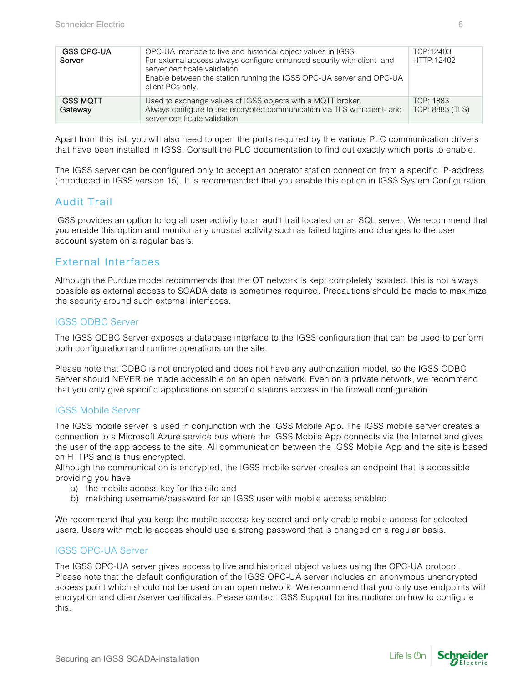| <b>IGSS OPC-UA</b><br>Server | OPC-UA interface to live and historical object values in IGSS.<br>For external access always configure enhanced security with client- and<br>server certificate validation.<br>Enable between the station running the IGSS OPC-UA server and OPC-UA<br>client PCs only. | TCP:12403<br>HTTP:12402      |
|------------------------------|-------------------------------------------------------------------------------------------------------------------------------------------------------------------------------------------------------------------------------------------------------------------------|------------------------------|
| <b>IGSS MQTT</b><br>Gateway  | Used to exchange values of IGSS objects with a MQTT broker.<br>Always configure to use encrypted communication via TLS with client- and<br>server certificate validation.                                                                                               | TCP: 1883<br>TCP: 8883 (TLS) |

Apart from this list, you will also need to open the ports required by the various PLC communication drivers that have been installed in IGSS. Consult the PLC documentation to find out exactly which ports to enable.

The IGSS server can be configured only to accept an operator station connection from a specific IP-address (introduced in IGSS version 15). It is recommended that you enable this option in IGSS System Configuration.

### Audit Trail

IGSS provides an option to log all user activity to an audit trail located on an SQL server. We recommend that you enable this option and monitor any unusual activity such as failed logins and changes to the user account system on a regular basis.

## External Interfaces

Although the Purdue model recommends that the OT network is kept completely isolated, this is not always possible as external access to SCADA data is sometimes required. Precautions should be made to maximize the security around such external interfaces.

#### IGSS ODBC Server

The IGSS ODBC Server exposes a database interface to the IGSS configuration that can be used to perform both configuration and runtime operations on the site.

Please note that ODBC is not encrypted and does not have any authorization model, so the IGSS ODBC Server should NEVER be made accessible on an open network. Even on a private network, we recommend that you only give specific applications on specific stations access in the firewall configuration.

#### IGSS Mobile Server

The IGSS mobile server is used in conjunction with the IGSS Mobile App. The IGSS mobile server creates a connection to a Microsoft Azure service bus where the IGSS Mobile App connects via the Internet and gives the user of the app access to the site. All communication between the IGSS Mobile App and the site is based on HTTPS and is thus encrypted.

Although the communication is encrypted, the IGSS mobile server creates an endpoint that is accessible providing you have

- a) the mobile access key for the site and
- b) matching username/password for an IGSS user with mobile access enabled.

We recommend that you keep the mobile access key secret and only enable mobile access for selected users. Users with mobile access should use a strong password that is changed on a regular basis.

#### IGSS OPC-UA Server

The IGSS OPC-UA server gives access to live and historical object values using the OPC-UA protocol. Please note that the default configuration of the IGSS OPC-UA server includes an anonymous unencrypted access point which should not be used on an open network. We recommend that you only use endpoints with encryption and client/server certificates. Please contact IGSS Support for instructions on how to configure this.